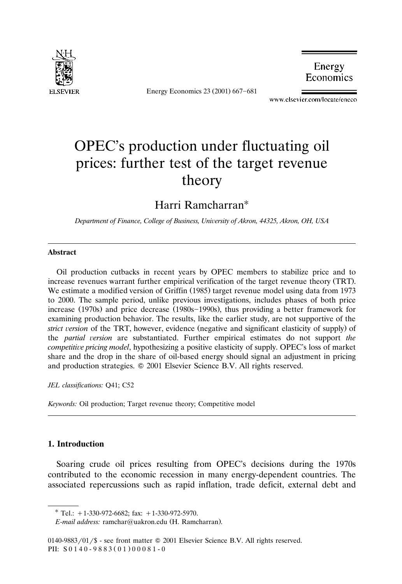

Energy Economics 23 (2001) 667-681

Energy Economics

www.elsevier.com/locate/eneco

## OPEC's production under fluctuating oil prices: further test of the target revenue theory

Harri Ramcharran

*Department of Finance, College of Business, Uniersity of Akron, 44325, Akron, OH, USA*

## **Abstract**

Oil production cutbacks in recent years by OPEC members to stabilize price and to increase revenues warrant further empirical verification of the target revenue theory (TRT). We estimate a modified version of Griffin (1985) target revenue model using data from 1973 to 2000. The sample period, unlike previous investigations, includes phases of both price increase  $(1970s)$  and price decrease  $(1980s - 1990s)$ , thus providing a better framework for examining production behavior. The results, like the earlier study, are not supportive of the *strict version* of the TRT, however, evidence (negative and significant elasticity of supply) of the *partial ersion* are substantiated. Further empirical estimates do not support *the competitie pricing model*, hypothesizing a positive elasticity of supply. OPEC's loss of market share and the drop in the share of oil-based energy should signal an adjustment in pricing and production strategies.  $© 2001$  Elsevier Science B.V. All rights reserved.

*JEL classifications:* Q41; C52

*Keywords:* Oil production; Target revenue theory; Competitive model

## **1. Introduction**

Soaring crude oil prices resulting from OPEC's decisions during the 1970s contributed to the economic recession in many energy-dependent countries. The associated repercussions such as rapid inflation, trade deficit, external debt and

*E-mail address:* ramchar@uakron.edu (H. Ramcharran).

 $*$  Tel.: +1-330-972-6682; fax: +1-330-972-5970.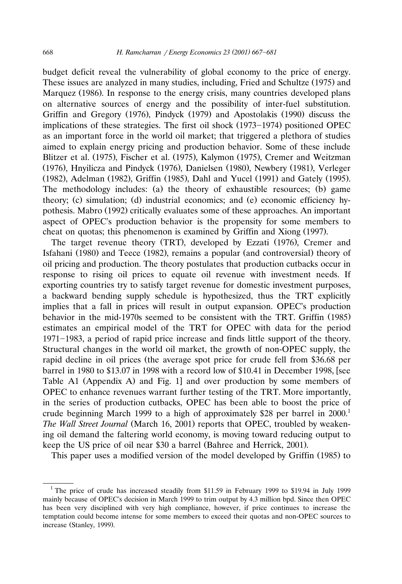budget deficit reveal the vulnerability of global economy to the price of energy. These issues are analyzed in many studies, including, Fried and Schultze (1975) and Marquez (1986). In response to the energy crisis, many countries developed plans on alternative sources of energy and the possibility of inter-fuel substitution. Griffin and Gregory (1976), Pindyck (1979) and Apostolakis (1990) discuss the implications of these strategies. The first oil shock (1973–1974) positioned OPEC as an important force in the world oil market; that triggered a plethora of studies aimed to explain energy pricing and production behavior. Some of these include Blitzer et al. (1975), Fischer et al. (1975), Kalymon (1975), Cremer and Weitzman  $(1976)$ , Hnyilicza and Pindyck  $(1976)$ , Danielsen  $(1980)$ , Newbery  $(1981)$ , Verleger (1982), Adelman (1982), Griffin (1985), Dahl and Yucel (1991) and Gately (1995). The methodology includes: (a) the theory of exhaustible resources; (b) game theory; (c) simulation; (d) industrial economics; and (e) economic efficiency hypothesis. Mabro (1992) critically evaluates some of these approaches. An important aspect of OPEC's production behavior is the propensity for some members to cheat on quotas; this phenomenon is examined by Griffin and Xiong (1997).

The target revenue theory (TRT), developed by Ezzati (1976), Cremer and Isfahani (1980) and Teece (1982), remains a popular (and controversial) theory of oil pricing and production. The theory postulates that production cutbacks occur in response to rising oil prices to equate oil revenue with investment needs. If exporting countries try to satisfy target revenue for domestic investment purposes, a backward bending supply schedule is hypothesized, thus the TRT explicitly implies that a fall in prices will result in output expansion. OPEC's production behavior in the mid-1970s seemed to be consistent with the TRT. Griffin (1985) estimates an empirical model of the TRT for OPEC with data for the period 1971–1983, a period of rapid price increase and finds little support of the theory. Structural changes in the world oil market, the growth of non-OPEC supply, the rapid decline in oil prices (the average spot price for crude fell from \$36.68 per barrel in 1980 to \$13.07 in 1998 with a record low of \$10.41 in December 1998, [see Table A1 (Appendix A) and Fig. 1] and over production by some members of OPEC to enhance revenues warrant further testing of the TRT. More importantly, in the series of production cutbacks, OPEC has been able to boost the price of crude beginning March 1999 to a high of approximately \$28 per barrel in  $2000$ <sup>1</sup> *The Wall Street Journal* (March 16, 2001) reports that OPEC, troubled by weakening oil demand the faltering world economy, is moving toward reducing output to keep the US price of oil near \$30 a barrel (Bahree and Herrick, 2001).

This paper uses a modified version of the model developed by Griffin (1985) to

<sup>&</sup>lt;sup>1</sup> The price of crude has increased steadily from \$11.59 in February 1999 to \$19.94 in July 1999 mainly because of OPEC's decision in March 1999 to trim output by 4.3 million bpd. Since then OPEC has been very disciplined with very high compliance, however, if price continues to increase the temptation could become intense for some members to exceed their quotas and non-OPEC sources to increase (Stanley, 1999).